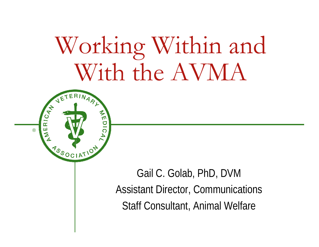## Working Within and With the AVMA



Gail C. Golab, PhD, DVM Assistant Director, Communications Staff Consultant, Animal Welfare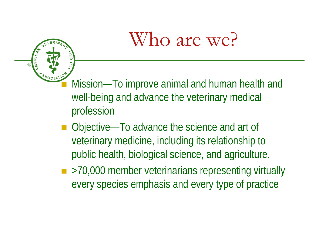## Who are we?

*<b>ESSOCIATION* Mission—To improve animal and human health and well-being and advance the veterinary medical profession

®

**AMERICAN** 

WEDIC.

- Objective—To advance the science and art of veterinary medicine, including its relationship to public health, biological science, and agriculture.
- >70,000 member veterinarians representing virtually every species emphasis and every type of practice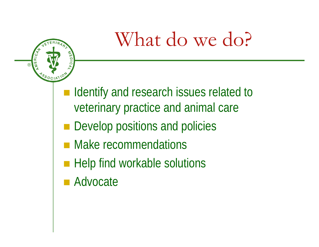## What do we do?



- Identify and research issues related to veterinary practice and animal care
- **Develop positions and policies**
- **Nake recommendations**
- Help find workable solutions
- Advocate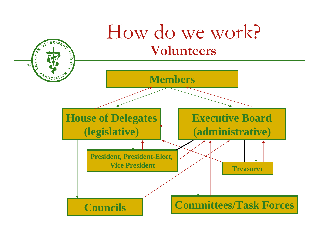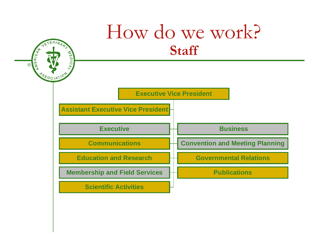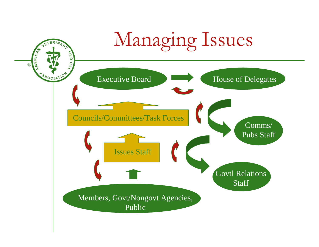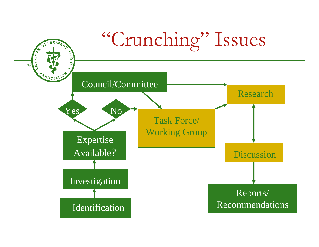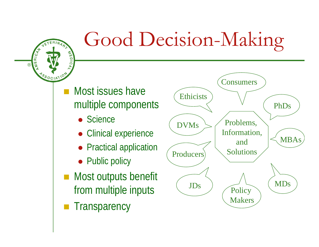

## Good Decision-Making

#### Most issues have multiple components

- Science
- Clinical experience
- Practical application
- Public policy
- **Most outputs benefit** from multiple inputs
- **Transparency**

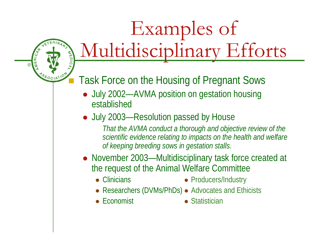## Examples of Multidisciplinary Efforts

Task Force on the Housing of Pregnant Sows

- July 2002—AVMA position on gestation housing established
- July 2003—Resolution passed by House

*That the AVMA conduct a thorough and objective review of the scientific evidence relating to impacts on the health and welfare of keeping breeding sows in gestation stalls.*

- November 2003—Multidisciplinary task force created at the request of the Animal Welfare Committee
	- Clinicians

®

**AMERICAN** 

NOSOCIATION

WEDICA

- Producers/Industry
- Researchers (DVMs/PhDs) Advocates and Ethicists
- Economist

 $\bullet$  Statistician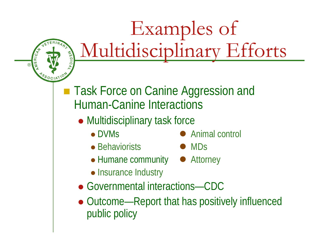# Examples of REAR Multidisciplinary Efforts

■ Task Force on Canine Aggression and Human-Canine Interactions

- Multidisciplinary task force
	- DVMs

®

**AMERICAN** 

**ASSOCIATIO** 

- Behaviorists MDs
- $\bullet$  Animal control
	-
- Humane community Attorney
- Insurance Industry
- Governmental interactions—CDC
- Outcome—Report that has positively influenced public policy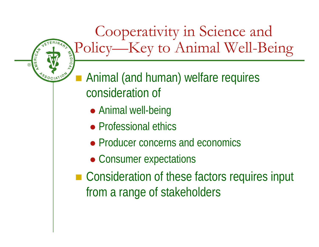Cooperativity in Science and Policy—Key to Animal Well-Being ■ Animal (and human) welfare requires consideration of

• Animal well-being

®

AMERICAN

**ASSOCIATION** 

- Professional ethics
- Producer concerns and economics
- Consumer expectations
- Consideration of these factors requires input from a range of stakeholders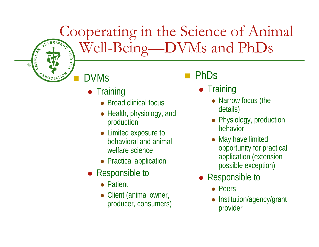## Cooperating in the Science of Animal<br>
PhDs
<sup>S</sup> Well-Being—DVMs and PhDs

### DVMs

®

**AMERICAN** 

NSSOCIATION

- Training
	- Broad clinical focus
	- Health, physiology, and production
	- Limited exposure to behavioral and animal welfare science
	- Practical application
- Responsible to
	- Patient
	- Client (animal owner, producer, consumers)

#### PhDs

- Training
	- Narrow focus (the details)
	- Physiology, production, behavior
	- May have limited opportunity for practical application (extension possible exception)
- Responsible to
	- Peers
	- O Institution/agency/grant provider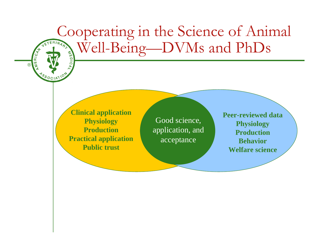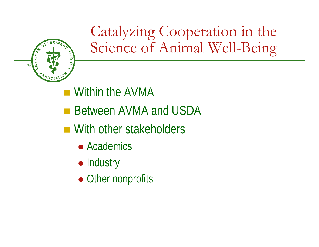

Catalyzing Cooperation in the Science of Animal Well-Being

- Within the AVMA
- Between AVMA and USDA
- With other stakeholders
	- Academics
	- Industry
	- Other nonprofits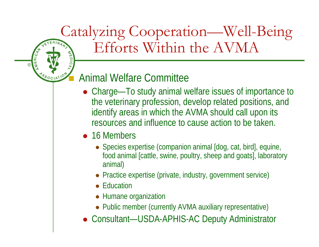#### Catalyzing Cooperation—Well-Being Efforts Within the AVMA **WEDICA**

#### Animal Welfare Committee

- Charge—To study animal welfare issues of importance to the veterinary profession, develop related positions, and identify areas in which the AVMA should call upon its resources and influence to cause action to be taken.
- 16 Members

®

**AMERICAN** 

NSSOCIATION

- Species expertise (companion animal [dog, cat, bird], equine, food animal [cattle, swine, poultry, sheep and goats], laboratory animal)
- Practice expertise (private, industry, government service)
- Education
- Humane organization
- Public member (currently AVMA auxiliary representative)
- Consultant—USDA-APHIS-AC Deputy Administrator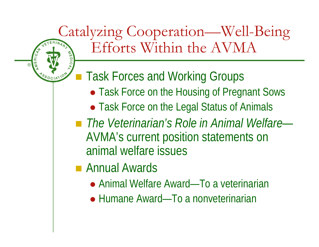#### Catalyzing Cooperation—Well-Being Efforts Within the AVMA **AVEBICAN WEDICA** ■ Task Forces and Working Groups • Task Force on the Housing of Pregnant Sows • Task Force on the Legal Status of Animals *The Veterinarian's Role in Animal Welfare*—AVMA's current position statements on animal welfare issues**Reduction Amards**

®

- Animal Welfare Award—To a veterinarian
- Humane Award—To a nonveterinarian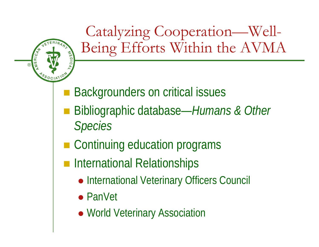

Catalyzing Cooperation—Well-Being Efforts Within the AVMA

- **Service Service** Backgrounders on critical issues
- Bibliographic database—*Humans & Other Species*
- Continuing education programs
- **n** International Relationships
	- International Veterinary Officers Council
	- PanVet
	- World Veterinary Association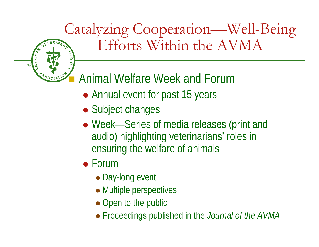#### Catalyzing Cooperation—Well-Being Efforts Within the AVMA RINARY **WEDICAL**

#### Animal Welfare Week and Forum

- Annual event for past 15 years
- Subject changes
- Week-Series of media releases (print and audio) highlighting veterinarians' roles in ensuring the welfare of animals
- $\bullet$  Forum

®

**AMERICAN** 

NSSOCIATION

- Day-long event
- Multiple perspectives
- Open to the public
- Proceedings published in the *Journal of the AVMA*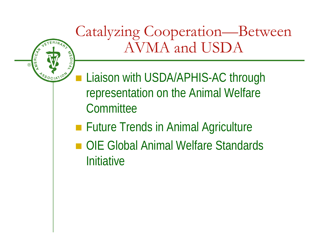Catalyzing Cooperation—Between INARL AVMA and USDA AMERICAN WEDICA **ASSOCIATION Liaison with USDA/APHIS-AC through** representation on the Animal Welfare **Committee Future Trends in Animal Agriculture** ■ OIE Global Animal Welfare Standards **Initiative** 

®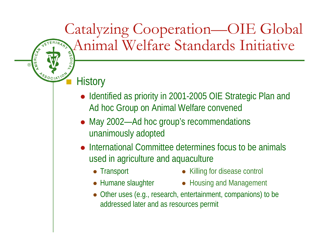#### Catalyzing Cooperation—OIE Global Animal Welfare Standards Initiative VARI

## **MSSOCIATION** History

®

**AVEBICAN** 

- Identified as priority in 2001-2005 OIE Strategic Plan and Ad hoc Group on Animal Welfare convened
- May 2002—Ad hoc group's recommendations unanimously adopted
- International Committee determines focus to be animals used in agriculture and aquaculture
	- Transport
	-
- $\bullet$  Killing for disease control
- Humane slaughter Housing and Management
- Other uses (e.g., research, entertainment, companions) to be addressed later and as resources permit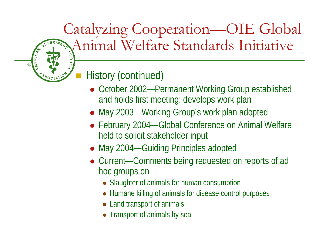### Catalyzing Cooperation—OIE Global Animal Welfare Standards Initiative ARA

#### History (continued)

®

**AMERICAN** 

NOSOCIATION

- October 2002—Permanent Working Group established and holds first meeting; develops work plan
- May 2003—Working Group's work plan adopted
- February 2004—Global Conference on Animal Welfare held to solicit stakeholder input
- May 2004—Guiding Principles adopted
- Current—Comments being requested on reports of ad hoc groups on
	- Slaughter of animals for human consumption
	- Humane killing of animals for disease control purposes
	- Land transport of animals
	- $\bullet$ Transport of animals by sea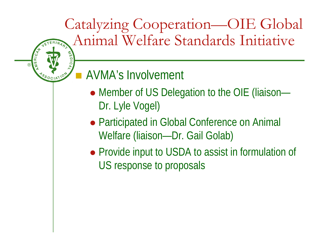Catalyzing Cooperation—OIE Global Animal Welfare Standards Initiative NARA

#### AVMA's Involvement

®

**AVERICAN** 

WEDICAL

PSSOCIATION

- Member of US Delegation to the OIE (liaison-Dr. Lyle Vogel)
- Participated in Global Conference on Animal Welfare (liaison—Dr. Gail Golab)
- Provide input to USDA to assist in formulation of US response to proposals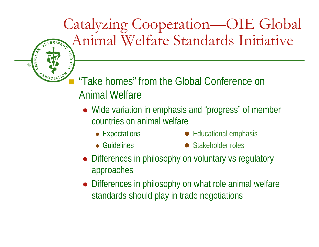Catalyzing Cooperation—OIE Global Animal Welfare Standards Initiative NARL

 "Take homes" from the Global Conference on Animal Welfare

- Wide variation in emphasis and "progress" of member countries on animal welfare
	- Expectations

®

**ANERICAN** 

**ASSOCIATION** 

WEDICA

- $\bullet$  Educational emphasis
- Guidelines
	- Stakeholder roles
- Differences in philosophy on voluntary vs regulatory approaches
- Differences in philosophy on what role animal welfare standards should play in trade negotiations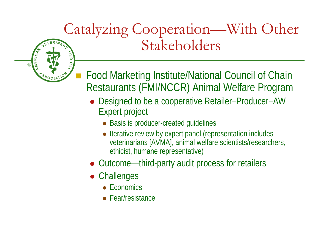#### Catalyzing Cooperation—With Other Stakeholders INARY **WEDICA**

- Food Marketing Institute/National Council of Chain Restaurants (FMI/NCCR) Animal Welfare Program
	- Designed to be a cooperative Retailer–Producer–AW Expert project
		- Basis is producer-created guidelines
		- Iterative review by expert panel (representation includes veterinarians [AVMA], animal welfare scientists/researchers, ethicist, humane representative)
	- Outcome—third-party audit process for retailers
	- Challenges

®

**AMERICAN** 

NOSOCIATION

- Economics
- Fear/resistance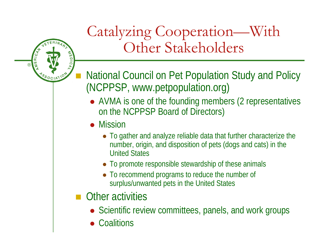

### Catalyzing Cooperation—With Other Stakeholders

- National Council on Pet Population Study and Policy (NCPPSP, www.petpopulation.org)
	- AVMA is one of the founding members (2 representatives on the NCPPSP Board of Directors)
	- Mission
		- To gather and analyze reliable data that further characterize the number, origin, and disposition of pets (dogs and cats) in the United States
		- To promote responsible stewardship of these animals
		- To recommend programs to reduce the number of surplus/unwanted pets in the United States
- **Other activities** 
	- Scientific review committees, panels, and work groups
	- $\bullet$ **Coalitions**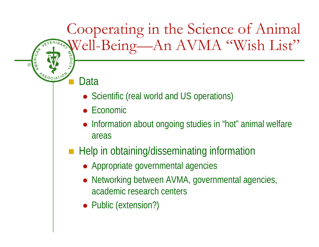## Cooperating in the Science of Animal Well-Being—An AVMA "Wish List"

#### Data

®

**AMERICAN** 

PSSOCIATION

- Scientific (real world and US operations)
- $\bullet$ Economic
- $\bullet$  Information about ongoing studies in "hot" animal welfare areas
- **Help in obtaining/disseminating information** 
	- Appropriate governmental agencies
	- $\bullet$  Networking between AVMA, governmental agencies, academic research centers
	- Public (extension?)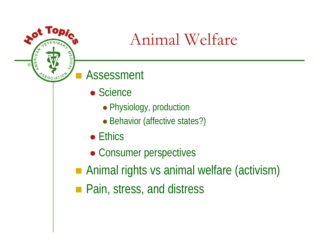## Animal Welfare

#### Assessment

®

**AMERICAN** 

 $\bullet$ 

NOSOCIATION

ARI

**WEDICA** 

- Science
	- Physiology, production
	- Behavior (affective states?)
- $\bullet$  Ethics
- Consumer perspectives
- Animal rights vs animal welfare (activism)
- **Pain, stress, and distress**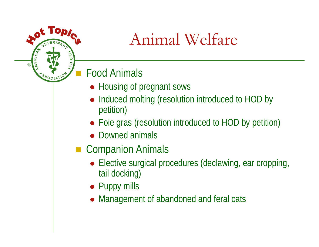## Animal Welfare

#### Food Animals

**AFDICAL** 

 $\bullet$ 

NOSOCIATION

®

**AMERICAN** 

- Housing of pregnant sows
- Induced molting (resolution introduced to HOD by petition)
- Foie gras (resolution introduced to HOD by petition)
- Downed animals
- Companion Animals
	- Elective surgical procedures (declawing, ear cropping, tail docking)
	- Puppy mills
	- Management of abandoned and feral cats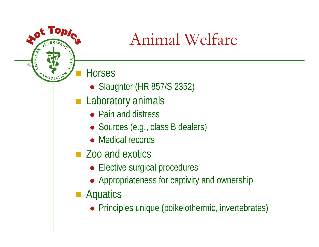## Animal Welfare

**Horses** 

®

**AMERICAN** 

<sup>78</sup>SOCIAT

 $\bullet$ 

**WEDICA** 

- Slaughter (HR 857/S 2352)
- **Laboratory animals** 
	- Pain and distress
	- Sources (e.g., class B dealers)
	- Medical records
- Zoo and exotics
	- Elective surgical procedures
	- Appropriateness for captivity and ownership
- **Aquatics** 
	- Principles unique (poikelothermic, invertebrates)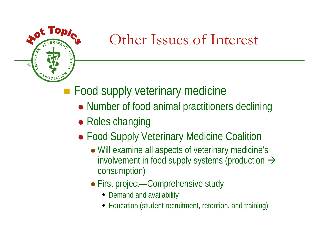#### $\bullet$ **AMERICAN AFDIC** ®PSSOCIATION

### Other Issues of Interest

**Food supply veterinary medicine** 

- Number of food animal practitioners declining
- Roles changing
- Food Supply Veterinary Medicine Coalition
	- Will examine all aspects of veterinary medicine's involvement in food supply systems (production  $\rightarrow$ consumption)
	- First project—Comprehensive study
		- Demand and availability
		- Education (student recruitment, retention, and training)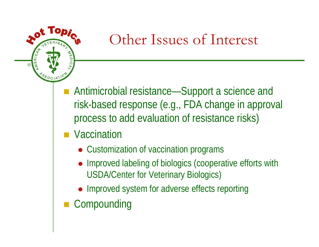

- Antimicrobial resistance—Support a science and risk-based response (e.g., FDA change in approval process to add evaluation of resistance risks)
- **Naccination** 
	- Customization of vaccination programs
	- Improved labeling of biologics (cooperative efforts with USDA/Center for Veterinary Biologics)
	- Improved system for adverse effects reporting
- **Compounding**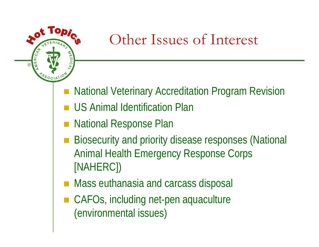

- National Veterinary Accreditation Program Revision
- **US Animal Identification Plan**
- National Response Plan
- Biosecurity and priority disease responses (National Animal Health Emergency Response Corps [NAHERC])
- Mass euthanasia and carcass disposal
- CAFOs, including net-pen aquaculture (environmental issues)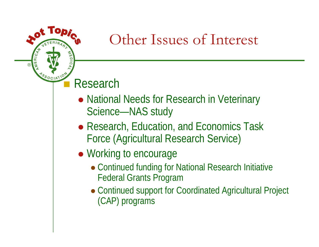#### ■ Research

®

**AVEBICAN** 

O

**WEDIC** 

- National Needs for Research in Veterinary Science—NAS study
- Research, Education, and Economics Task Force (Agricultural Research Service)
- Working to encourage
	- Continued funding for National Research Initiative Federal Grants Program
	- Continued support for Coordinated Agricultural Project (CAP) programs